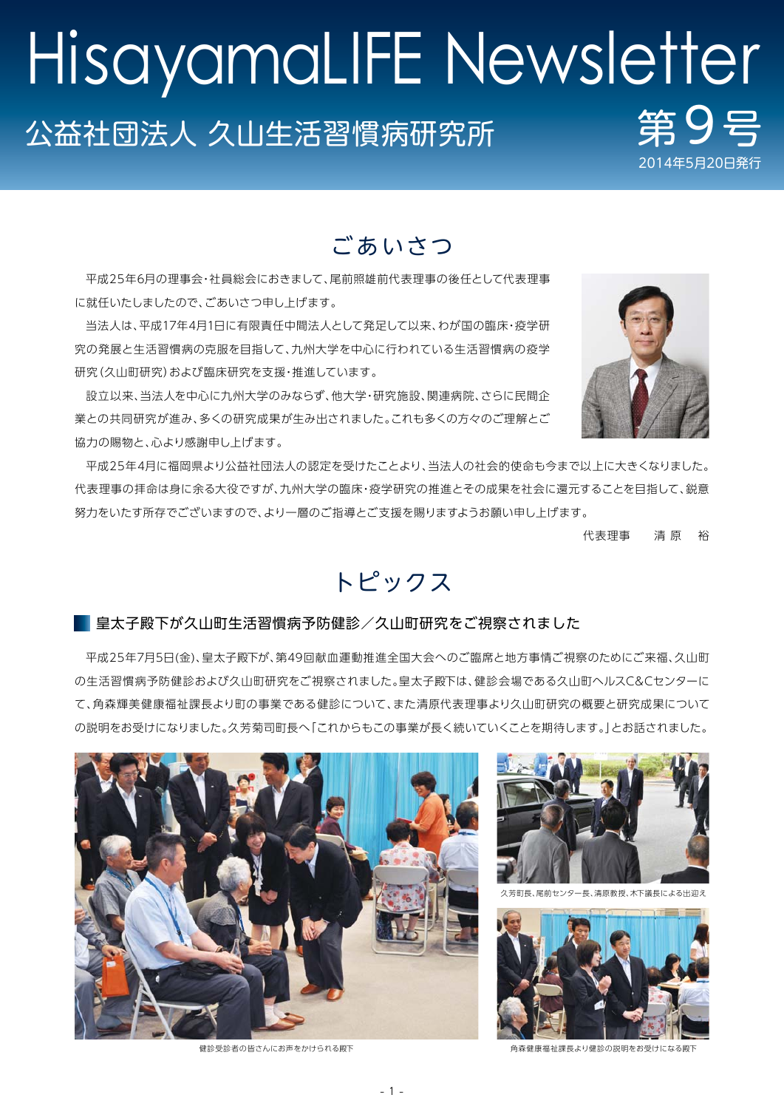# 公益社団法人 久山生活習慣病研究所 2014年5月20日 HisayamaLIFE Newsletter

# ごあいさつ

平成25年6月の理事会・社員総会におきまして、尾前照雄前代表理事の後任として代表理事 に就任いたしましたので、ごあいさつ申し上げます。

当法人は、平成17年4月1日に有限責任中間法人として発足して以来、わが国の臨床・疫学研 究の発展と生活習慣病の克服を目指して、九州大学を中心に行われている生活習慣病の疫学 研究(久山町研究)および臨床研究を支援・推進しています。

設立以来、当法人を中心に九州大学のみならず、他大学・研究施設、関連病院、さらに民間企 業との共同研究が進み、多くの研究成果が生み出されました。これも多くの方々のご理解とご 協力の賜物と、心より感謝申し上げます。

平成25年4月に福岡県より公益社団法人の認定を受けたことより、当法人の社会的使命も今まで以上に大きくなりました。 代表理事の拝命は身に余る大役ですが、九州大学の臨床・疫学研究の推進とその成果を社会に還元することを目指して、鋭意 努力をいたす所存でございますので、より一層のご指導とご支援を賜りますようお願い申し上げます。

代表理事 清 原 裕

# トピックス

#### ■ 皇太子殿下が久山町生活習慣病予防健診/久山町研究をご視察されました

平成25年7月5日(金)、皇太子殿下が、第49回献血運動推進全国大会へのご臨席と地方事情ご視察のためにご来福、久山町 の生活習慣病予防健診および久山町研究をご視察されました。皇太子殿下は、健診会場である久山町ヘルスC&Cセンターに て、角森輝美健康福祉課長より町の事業である健診について、また清原代表理事より久山町研究の概要と研究成果について の説明をお受けになりました。久芳菊司町長へ「これからもこの事業が長く続いていくことを期待します。」とお話されました。





久芳町長、尾前センター長、清原教授、木下議長による出迎え



健診受診者の皆さんにお声をかけられる殿下 あんない あいまん あい 角森健康福祉課長より健診の説明をお受けになる殿

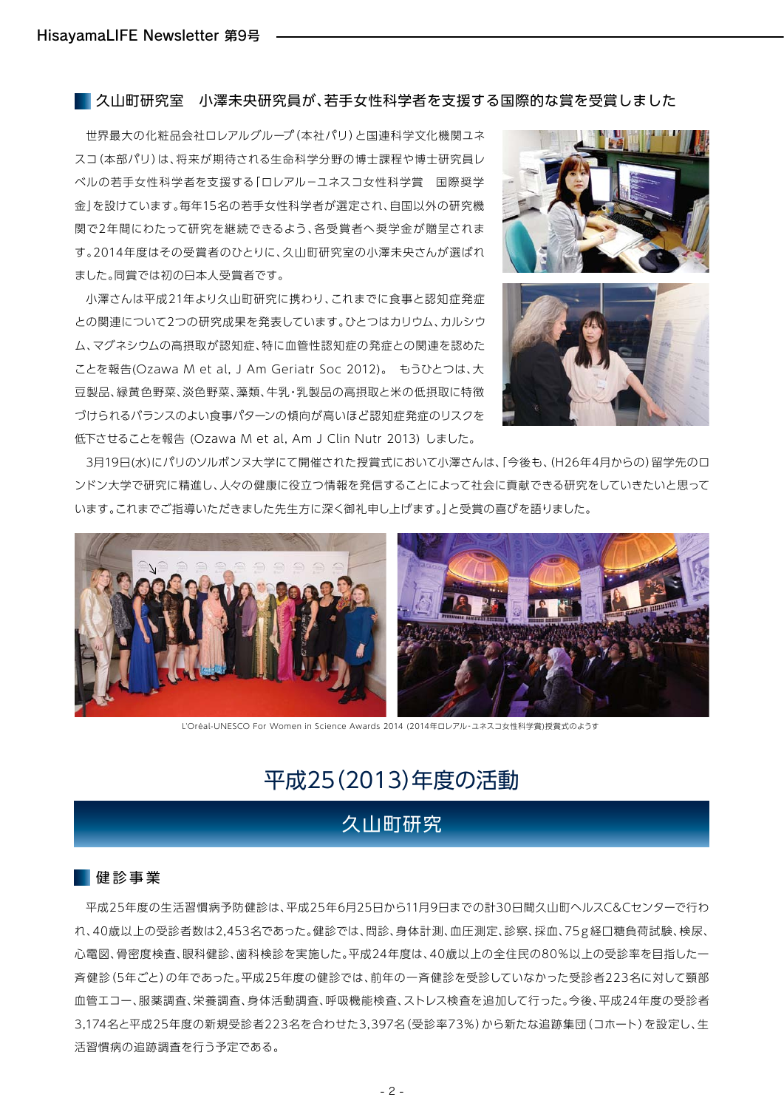久山町研究室 小澤未央研究員が、若手女性科学者を支援する国際的な賞を受賞しました

世界最大の化粧品会社ロレアルグループ(本社パリ)と国連科学文化機関ユネ スコ(本部パリ)は、将来が期待される生命科学分野の博士課程や博士研究員レ ベルの若手女性科学者を支援する「ロレアル-ユネスコ女性科学賞 国際奨学 金」を設けています。毎年15名の若手女性科学者が選定され、自国以外の研究機 関で2年間にわたって研究を継続できるよう、各受賞者へ奨学金が贈呈されま す。2014年度はその受賞者のひとりに、久山町研究室の小澤未央さんが選ばれ ました。同賞では初の日本人受賞者です。

小澤さんは平成21年より久山町研究に携わり、これまでに食事と認知症発症 との関連について2つの研究成果を発表しています。ひとつはカリウム、カルシウ ム、マグネシウムの高摂取が認知症、特に血管性認知症の発症との関連を認めた ことを報告(Ozawa M et al, J Am Geriatr Soc 2012)。 もうひとつは、大 豆製品、緑黄色野菜、淡色野菜、藻類、牛乳・乳製品の高摂取と米の低摂取に特徴 づけられるバランスのよい食事パターンの傾向が高いほど認知症発症のリスクを 低下させることを報告 (Ozawa M et al, Am J Clin Nutr 2013) しました。





3月19日(水)にパリのソルボンヌ大学にて開催された授賞式において小澤さんは、「今後も、(H26年4月からの)留学先のロ ンドン大学で研究に精進し、人々の健康に役立つ情報を発信することによって社会に貢献できる研究をしていきたいと思って います。これまでご指導いただきました先生方に深く御礼申し上げます。」と受賞の喜びを語りました。



L'Oréal-UNESCO For Women in Science Awards 2014 (2014年ロレアル‐ユネスコ女性科学賞)授賞式のようす

## 平成25(2013)年度の活動

## 久山町研究

#### ■健診事業

平成25年度の生活習慣病予防健診は、平成25年6月25日から11月9日までの計30日間久山町ヘルスC&Cセンターで行わ れ、40歳以上の受診者数は2,453名であった。健診では、問診、身体計測、血圧測定、診察、採血、75g経口糖負荷試験、検尿、 心電図、骨密度検査、眼科健診、歯科検診を実施した。平成24年度は、40歳以上の全住民の80%以上の受診率を目指した一 斉健診(5年ごと)の年であった。平成25年度の健診では、前年の一斉健診を受診していなかった受診者223名に対して頸部 血管エコー、服薬調査、栄養調査、身体活動調査、呼吸機能検査、ストレス検査を追加して行った。今後、平成24年度の受診者 3,174名と平成25年度の新規受診者223名を合わせた3,397名(受診率73%)から新たな追跡集団(コホート)を設定し、生 活習慣病の追跡調査を行う予定である。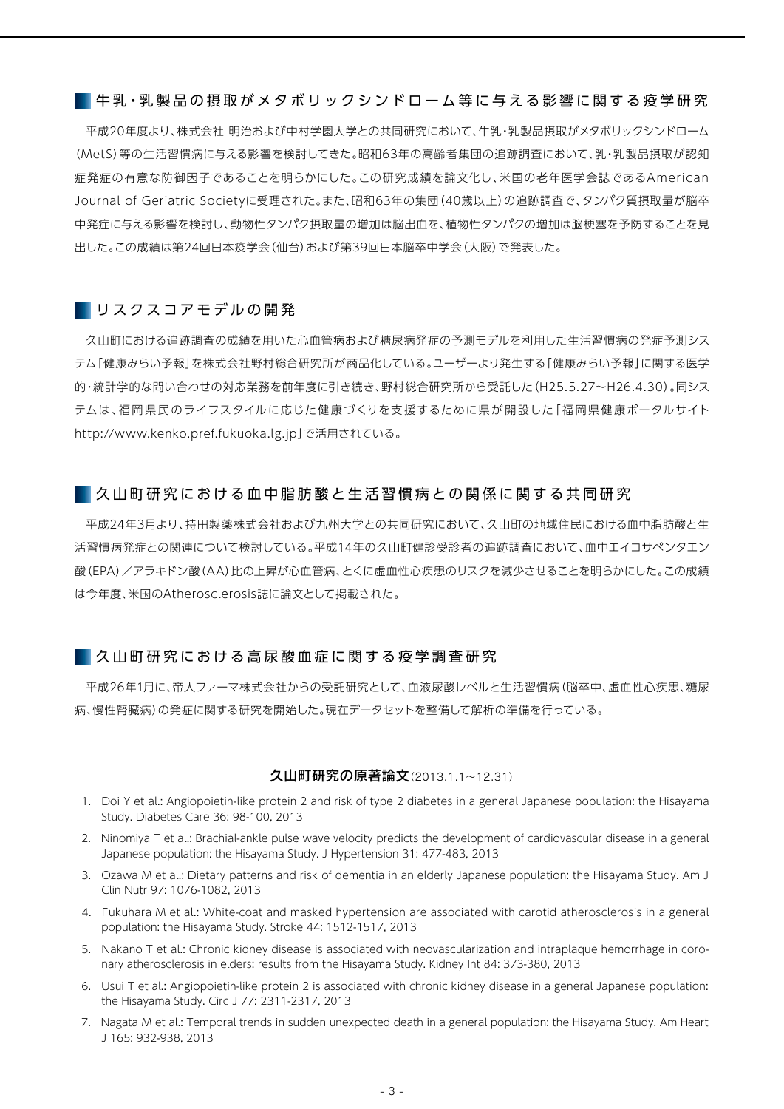#### ■ 牛乳 • 乳 製 品 の 摂 取 が メ タ ボ リ ッ ク シ ン ド ロ ー ム 等 に 与 え る 影 響 に 関 す る 疫 学 研 究

平成20年度より、株式会社 明治および中村学園大学との共同研究において、牛乳・乳製品摂取がメタボリックシンドローム (MetS)等の生活習慣病に与える影響を検討してきた。昭和63年の高齢者集団の追跡調査において、乳・乳製品摂取が認知 症発症の有意な防御因子であることを明らかにした。この研究成績を論文化し、米国の老年医学会誌であるAmerican Journal of Geriatric Societyに受理された。また、昭和63年の集団(40歳以上)の追跡調査で、タンパク質摂取量が脳卒 中発症に与える影響を検討し、動物性タンパク摂取量の増加は脳出血を、植物性タンパクの増加は脳梗塞を予防することを見 出した。この成績は第24回日本疫学会(仙台)および第39回日本脳卒中学会(大阪)で発表した。

#### ■ リスクスコアモデルの開発

久山町における追跡調査の成績を用いた心血管病および糖尿病発症の予測モデルを利用した生活習慣病の発症予測シス テム「健康みらい予報」を株式会社野村総合研究所が商品化している。ユーザーより発生する「健康みらい予報」に関する医学 的・統計学的な問い合わせの対応業務を前年度に引き続き、野村総合研究所から受託した(H25.5.27~H26.4.30)。同シス テムは、福岡県民のライフスタイルに応じた健康づくりを支援するために県が開設した「福岡県健康ポータルサイト http://www.kenko.pref.fukuoka.lg.jp」で活用されている。

#### ■ 久山町研究における血中脂肪酸と生活習慣病との関係に関する共同研究

平成24年3月より、持田製薬株式会社および九州大学との共同研究において、久山町の地域住民における血中脂肪酸と生 活習慣病発症との関連について検討している。平成14年の久山町健診受診者の追跡調査において、血中エイコサペンタエン 酸(EPA)/アラキドン酸(AA)比の上昇が心血管病、とくに虚血性心疾患のリスクを減少させることを明らかにした。この成績 は今年度、米国のAtherosclerosis誌に論文として掲載された。

#### ■久山町研究における高尿酸血症に関する疫学調査研究

平成26年1月に、帝人ファーマ株式会社からの受託研究として、血液尿酸レベルと生活習慣病(脳卒中、虚血性心疾患、糖尿 病、慢性腎臓病)の発症に関する研究を開始した。現在データセットを整備して解析の準備を行っている。

#### 久山町研究の原著論文(2013.1.1~12.31)

- 1. Doi Y et al.: Angiopoietin-like protein 2 and risk of type 2 diabetes in a general Japanese population: the Hisayama Study. Diabetes Care 36: 98-100, 2013
- 2. Ninomiya T et al.: Brachial-ankle pulse wave velocity predicts the development of cardiovascular disease in a general Japanese population: the Hisayama Study. J Hypertension 31: 477-483, 2013
- 3. Ozawa M et al.: Dietary patterns and risk of dementia in an elderly Japanese population: the Hisayama Study. Am J Clin Nutr 97: 1076-1082, 2013
- 4. Fukuhara M et al.: White-coat and masked hypertension are associated with carotid atherosclerosis in a general population: the Hisayama Study. Stroke 44: 1512-1517, 2013
- 5. Nakano T et al.: Chronic kidney disease is associated with neovascularization and intraplaque hemorrhage in coronary atherosclerosis in elders: results from the Hisayama Study. Kidney Int 84: 373-380, 2013
- 6. Usui T et al.: Angiopoietin-like protein 2 is associated with chronic kidney disease in a general Japanese population: the Hisayama Study. Circ J 77: 2311-2317, 2013
- 7. Nagata M et al.: Temporal trends in sudden unexpected death in a general population: the Hisayama Study. Am Heart J 165: 932-938, 2013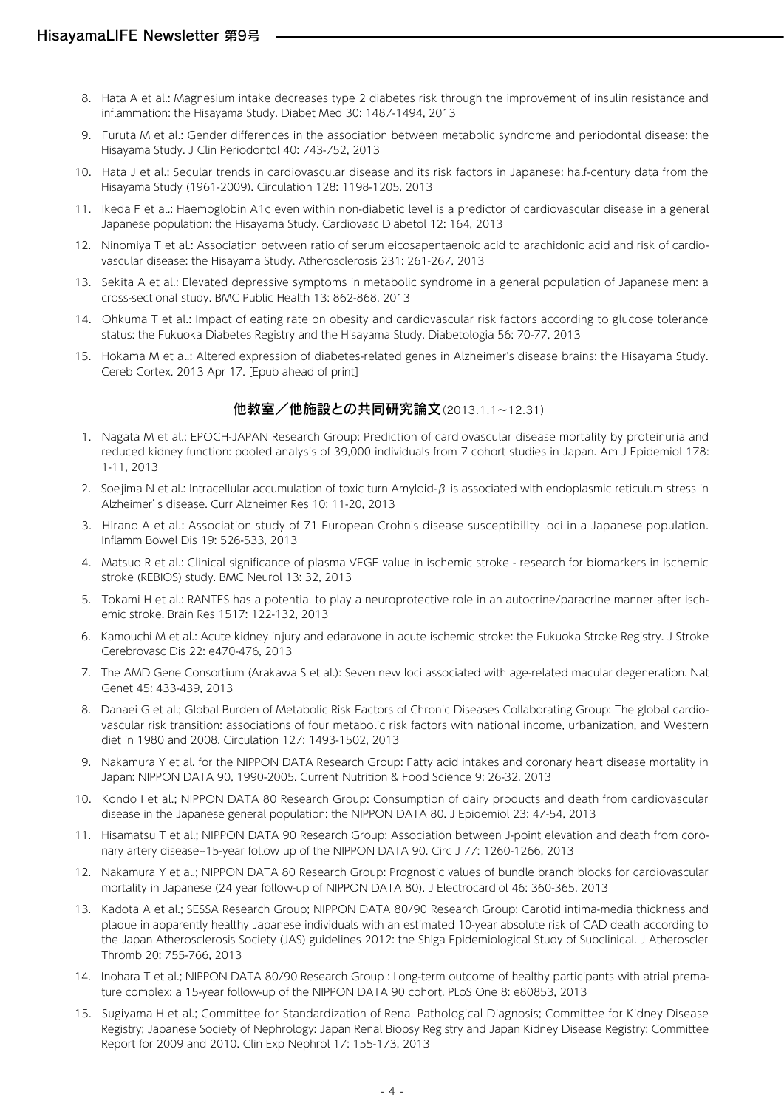- 8. Hata A et al.: Magnesium intake decreases type 2 diabetes risk through the improvement of insulin resistance and inflammation: the Hisayama Study. Diabet Med 30: 1487-1494, 2013
- 9. Furuta M et al.: Gender differences in the association between metabolic syndrome and periodontal disease: the Hisayama Study. J Clin Periodontol 40: 743-752, 2013
- 10. Hata J et al.: Secular trends in cardiovascular disease and its risk factors in Japanese: half-century data from the Hisayama Study (1961-2009). Circulation 128: 1198-1205, 2013
- 11. Ikeda F et al.: Haemoglobin A1c even within non-diabetic level is a predictor of cardiovascular disease in a general Japanese population: the Hisayama Study. Cardiovasc Diabetol 12: 164, 2013
- 12. Ninomiya T et al.: Association between ratio of serum eicosapentaenoic acid to arachidonic acid and risk of cardiovascular disease: the Hisayama Study. Atherosclerosis 231: 261-267, 2013
- 13. Sekita A et al.: Elevated depressive symptoms in metabolic syndrome in a general population of Japanese men: a cross-sectional study. BMC Public Health 13: 862-868, 2013
- 14. Ohkuma T et al.: Impact of eating rate on obesity and cardiovascular risk factors according to glucose tolerance status: the Fukuoka Diabetes Registry and the Hisayama Study. Diabetologia 56: 70-77, 2013
- 15. Hokama M et al.: Altered expression of diabetes-related genes in Alzheimer's disease brains: the Hisayama Study. Cereb Cortex. 2013 Apr 17. [Epub ahead of print]

#### 他教室/他施設との共同研究論文(2013.1.1~12.31)

- 1. Nagata M et al.; EPOCH-JAPAN Research Group: Prediction of cardiovascular disease mortality by proteinuria and reduced kidney function: pooled analysis of 39,000 individuals from 7 cohort studies in Japan. Am J Epidemiol 178: 1-11, 2013
- 2. Soejima N et al.: Intracellular accumulation of toxic turn Amyloid- $\beta$  is associated with endoplasmic reticulum stress in Alzheimer's disease. Curr Alzheimer Res 10: 11-20, 2013
- 3. Hirano A et al.: Association study of 71 European Crohn's disease susceptibility loci in a Japanese population. Inflamm Bowel Dis 19: 526-533, 2013
- 4. Matsuo R et al.: Clinical significance of plasma VEGF value in ischemic stroke research for biomarkers in ischemic stroke (REBIOS) study. BMC Neurol 13: 32, 2013
- 5. Tokami H et al.: RANTES has a potential to play a neuroprotective role in an autocrine/paracrine manner after ischemic stroke. Brain Res 1517: 122-132, 2013
- 6. Kamouchi M et al.: Acute kidney injury and edaravone in acute ischemic stroke: the Fukuoka Stroke Registry. J Stroke Cerebrovasc Dis 22: e470-476, 2013
- 7. The AMD Gene Consortium (Arakawa S et al.): Seven new loci associated with age-related macular degeneration. Nat Genet 45: 433-439, 2013
- 8. Danaei G et al.; Global Burden of Metabolic Risk Factors of Chronic Diseases Collaborating Group: The global cardiovascular risk transition: associations of four metabolic risk factors with national income, urbanization, and Western diet in 1980 and 2008. Circulation 127: 1493-1502, 2013
- 9. Nakamura Y et al. for the NIPPON DATA Research Group: Fatty acid intakes and coronary heart disease mortality in Japan: NIPPON DATA 90, 1990-2005. Current Nutrition & Food Science 9: 26-32, 2013
- 10. Kondo I et al.; NIPPON DATA 80 Research Group: Consumption of dairy products and death from cardiovascular disease in the Japanese general population: the NIPPON DATA 80. J Epidemiol 23: 47-54, 2013
- 11. Hisamatsu T et al.; NIPPON DATA 90 Research Group: Association between J-point elevation and death from coronary artery disease--15-year follow up of the NIPPON DATA 90. Circ J 77: 1260-1266, 2013
- 12. Nakamura Y et al.; NIPPON DATA 80 Research Group: Prognostic values of bundle branch blocks for cardiovascular mortality in Japanese (24 year follow-up of NIPPON DATA 80). J Electrocardiol 46: 360-365, 2013
- 13. Kadota A et al.; SESSA Research Group; NIPPON DATA 80/90 Research Group: Carotid intima-media thickness and plaque in apparently healthy Japanese individuals with an estimated 10-year absolute risk of CAD death according to the Japan Atherosclerosis Society (JAS) guidelines 2012: the Shiga Epidemiological Study of Subclinical. J Atheroscler Thromb 20: 755-766, 2013
- 14. Inohara T et al.; NIPPON DATA 80/90 Research Group : Long-term outcome of healthy participants with atrial premature complex: a 15-year follow-up of the NIPPON DATA 90 cohort. PLoS One 8: e80853, 2013
- 15. Sugiyama H et al.; Committee for Standardization of Renal Pathological Diagnosis; Committee for Kidney Disease Registry; Japanese Society of Nephrology: Japan Renal Biopsy Registry and Japan Kidney Disease Registry: Committee Report for 2009 and 2010. Clin Exp Nephrol 17: 155-173, 2013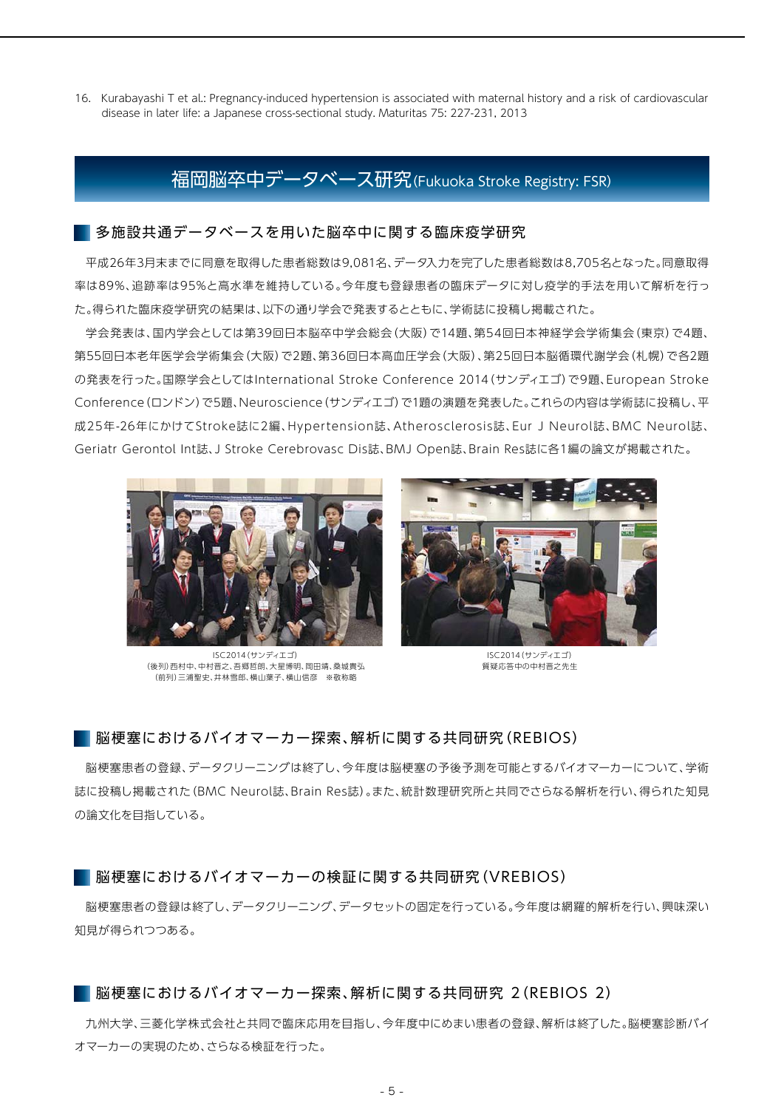16. Kurabayashi T et al.: Pregnancy-induced hypertension is associated with maternal history and a risk of cardiovascular disease in later life: a Japanese cross-sectional study. Maturitas 75: 227-231, 2013

### 福岡脳卒中データベース研究(Fukuoka Stroke Registry: FSR)

#### ■多施設共通データベースを用いた脳卒中に関する臨床疫学研究

平成26年3月末までに同意を取得した患者総数は9,081名、データ入力を完了した患者総数は8,705名となった。同意取得 率は89%、追跡率は95%と高水準を維持している。今年度も登録患者の臨床データに対し疫学的手法を用いて解析を行っ た。得られた臨床疫学研究の結果は、以下の通り学会で発表するとともに、学術誌に投稿し掲載された。

学会発表は、国内学会としては第39回日本脳卒中学会総会(大阪)で14題、第54回日本神経学会学術集会(東京)で4題、 第55回日本老年医学会学術集会(大阪)で2題、第36回日本高血圧学会(大阪)、第25回日本脳循環代謝学会(札幌)で各2題 の発表を行った。国際学会としてはInternational Stroke Conference 2014(サンディエゴ)で9題、European Stroke Conference(ロンドン)で5題、Neuroscience(サンディエゴ)で1題の演題を発表した。これらの内容は学術誌に投稿し、平 成25年-26年にかけてStroke誌に2編、Hypertension誌、Atherosclerosis誌、Eur J Neurol誌、BMC Neurol誌、 Geriatr Gerontol Int誌、J Stroke Cerebrovasc Dis誌、BMJ Open誌、Brain Res誌に各1編の論文が掲載された。



ISC2014(サンディエゴ) (後列)西村中、中村晋之、吾郷哲朗、大星博明、岡田靖、桑城貴弘 (前列)三浦聖史、井林雪郎、横山葉子、横山信彦 ※敬称略



ISC2014(サンディエゴ) 質疑応答中の中村晋之先生

#### 脳梗塞におけるバイオマーカー探索、解析に関する共同研究(REBIOS)

脳梗塞患者の登録、データクリーニングは終了し、今年度は脳梗塞の予後予測を可能とするバイオマーカーについて、学術 誌に投稿し掲載された(BMC Neurol誌、Brain Res誌)。また、統計数理研究所と共同でさらなる解析を行い、得られた知見 の論文化を目指している。

#### ■ 脳梗塞におけるバイオマーカーの検証に関する共同研究(VREBIOS)

脳梗塞患者の登録は終了し、データクリーニング、データセットの固定を行っている。今年度は網羅的解析を行い、興味深い 知見が得られつつある。

#### 脳梗塞におけるバイオマーカー探索、解析に関する共同研究 2(REBIOS 2)

九州大学、三菱化学株式会社と共同で臨床応用を目指し、今年度中にめまい患者の登録、解析は終了した。脳梗塞診断バイ オマーカーの実現のため、さらなる検証を行った。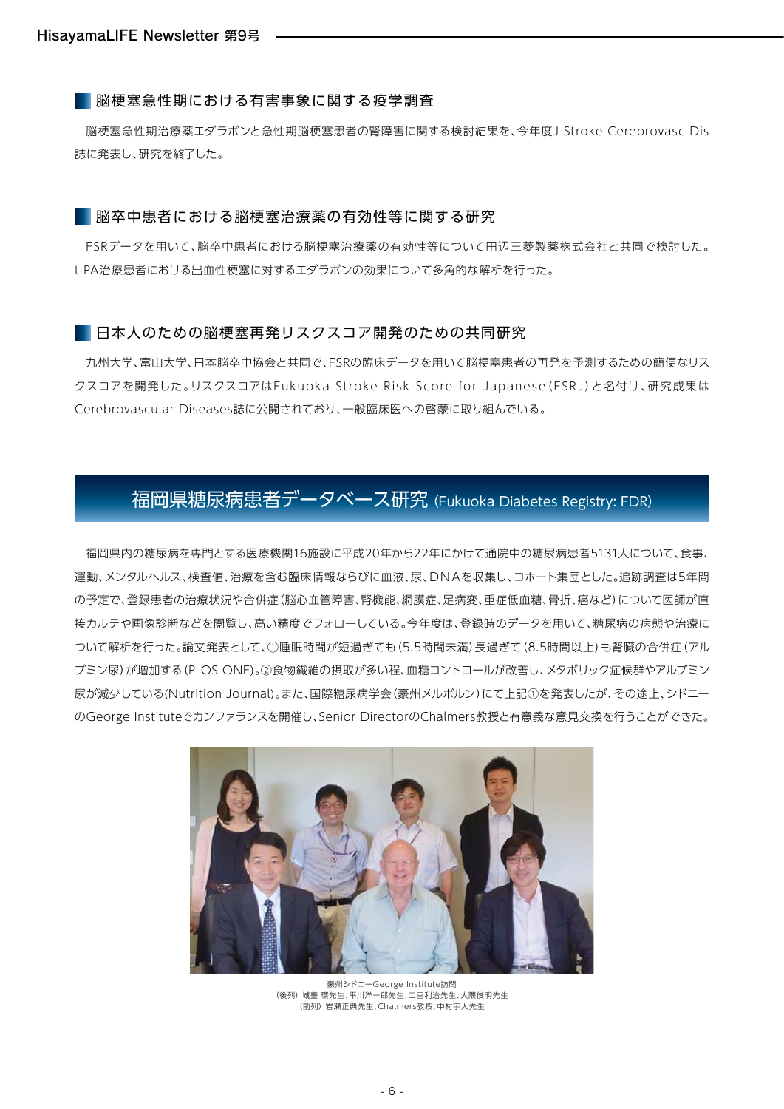#### 脳梗塞急性期における有害事象に関する疫学調査

脳梗塞急性期治療薬エダラボンと急性期脳梗塞患者の腎障害に関する検討結果を、今年度J Stroke Cerebrovasc Dis 誌に発表し、研究を終了した。

#### ■ 脳卒中患者における脳梗塞治療薬の有効性等に関する研究

FSRデータを用いて、脳卒中患者における脳梗塞治療薬の有効性等について田辺三菱製薬株式会社と共同で検討した。 t-PA治療患者における出血性梗塞に対するエダラボンの効果について多角的な解析を行った。

#### ■ 日本人のための脳梗塞再発リスクスコア開発のための共同研究

九州大学、富山大学、日本脳卒中協会と共同で、FSRの臨床データを用いて脳梗塞患者の再発を予測するための簡便なリス クスコアを開発した。リスクスコアはFukuoka Stroke Risk Score for Japanese(FSRJ)と名付け、研究成果は Cerebrovascular Diseases誌に公開されており、一般臨床医への啓蒙に取り組んでいる。

## 福岡県糖尿病患者データベース研究 (Fukuoka Diabetes Registry: FDR)

福岡県内の糖尿病を専門とする医療機関16施設に平成20年から22年にかけて通院中の糖尿病患者5131人について、食事、 運動、メンタルヘルス、検査値、治療を含む臨床情報ならびに血液、尿、DNAを収集し、コホート集団とした。追跡調査は5年間 の予定で、登録患者の治療状況や合併症(脳心血管障害、腎機能、網膜症、足病変、重症低血糖、骨折、癌など)について医師が直 接カルテや画像診断などを閲覧し、高い精度でフォローしている。今年度は、登録時のデータを用いて、糖尿病の病態や治療に ついて解析を行った。論文発表として、①睡眠時間が短過ぎても(5.5時間未満)長過ぎて(8.5時間以上)も腎臓の合併症(アル ブミン尿)が増加する(PLOS ONE)。②食物繊維の摂取が多い程、血糖コントロールが改善し、メタボリック症候群やアルブミン 尿が減少している(Nutrition Journal)。また、国際糖尿病学会(豪州メルボルン)にて上記①を発表したが、その途上、シドニー のGeorge Instituteでカンファランスを開催し、Senior DirectorのChalmers教授と有意義な意見交換を行うことができた。



豪州シドニーGeorge Institute訪問 (後列) 城臺 環先生、平川洋一郎先生、二宮利治先生、大隈俊明先生 (前列) 岩瀬正典先生、Chalmers教授、中村宇大先生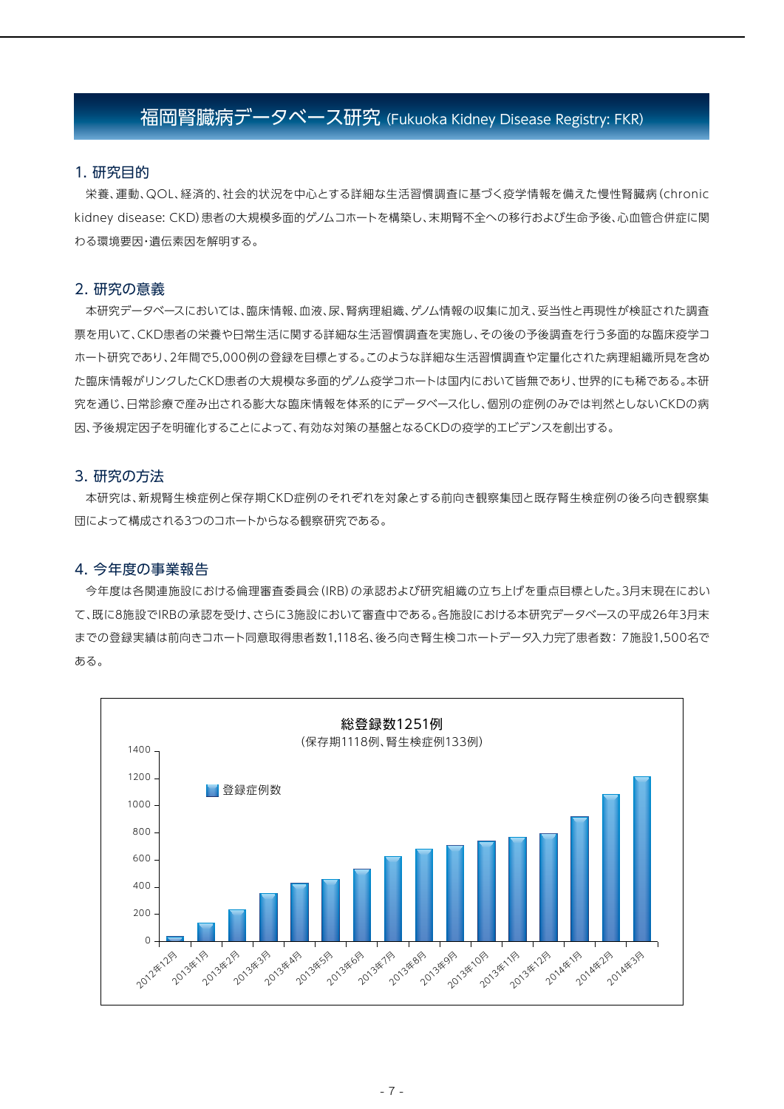## 福岡腎臓病データベース研究 (Fukuoka Kidney Disease Registry: FKR)

#### 1. 研究目的

栄養、運動、QOL、経済的、社会的状況を中心とする詳細な生活習慣調査に基づく疫学情報を備えた慢性腎臓病(chronic kidney disease: CKD)患者の大規模多面的ゲノムコホートを構築し、末期腎不全への移行および生命予後、心血管合併症に関 わる環境要因・遺伝素因を解明する。

#### 2. 研究の意義

本研究データベースにおいては、臨床情報、血液、尿、腎病理組織、ゲノム情報の収集に加え、妥当性と再現性が検証された調査 票を用いて、CKD患者の栄養や日常生活に関する詳細な生活習慣調査を実施し、その後の予後調査を行う多面的な臨床疫学コ ホート研究であり、2年間で5,000例の登録を目標とする。このような詳細な生活習慣調査や定量化された病理組織所見を含め た臨床情報がリンクしたCKD患者の大規模な多面的ゲノム疫学コホートは国内において皆無であり、世界的にも稀である。本研 究を通じ、日常診療で産み出される膨大な臨床情報を体系的にデータベース化し、個別の症例のみでは判然としないCKDの病 因、予後規定因子を明確化することによって、有効な対策の基盤となるCKDの疫学的エビデンスを創出する。

#### 3. 研究の方法

本研究は、新規腎生検症例と保存期CKD症例のそれぞれを対象とする前向き観察集団と既存腎生検症例の後ろ向き観察集 団によって構成される3つのコホートからなる観察研究である。

#### 4. 今年度の事業報告

今年度は各関連施設における倫理審査委員会(IRB)の承認および研究組織の立ち上げを重点目標とした。3月末現在におい て、既に8施設でIRBの承認を受け、さらに3施設において審査中である。各施設における本研究データベースの平成26年3月末 までの登録実績は前向きコホート同意取得患者数1,118名、後ろ向き腎生検コホートデータ入力完了患者数: 7施設1,500名で ある。